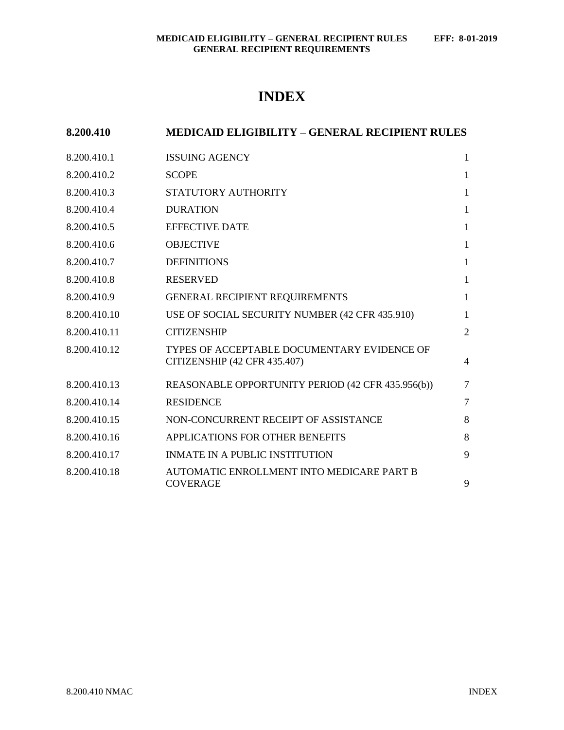# **INDEX**

# **8.200.410 MEDICAID ELIGIBILITY – GENERAL RECIPIENT RULES**

| 8.200.410.1  | <b>ISSUING AGENCY</b>                                                       | 1              |
|--------------|-----------------------------------------------------------------------------|----------------|
| 8.200.410.2  | <b>SCOPE</b>                                                                | 1              |
| 8.200.410.3  | STATUTORY AUTHORITY                                                         | 1              |
| 8.200.410.4  | <b>DURATION</b>                                                             | 1              |
| 8.200.410.5  | <b>EFFECTIVE DATE</b>                                                       | $\mathbf{1}$   |
| 8.200.410.6  | <b>OBJECTIVE</b>                                                            | $\mathbf{1}$   |
| 8.200.410.7  | <b>DEFINITIONS</b>                                                          | 1              |
| 8.200.410.8  | <b>RESERVED</b>                                                             | 1              |
| 8.200.410.9  | GENERAL RECIPIENT REQUIREMENTS                                              | $\mathbf{1}$   |
| 8.200.410.10 | USE OF SOCIAL SECURITY NUMBER (42 CFR 435.910)                              | $\mathbf{1}$   |
| 8.200.410.11 | <b>CITIZENSHIP</b>                                                          | $\overline{2}$ |
| 8.200.410.12 | TYPES OF ACCEPTABLE DOCUMENTARY EVIDENCE OF<br>CITIZENSHIP (42 CFR 435.407) | 4              |
| 8.200.410.13 | REASONABLE OPPORTUNITY PERIOD (42 CFR 435.956(b))                           | $\overline{7}$ |
| 8.200.410.14 | <b>RESIDENCE</b>                                                            | $\tau$         |
| 8.200.410.15 | NON-CONCURRENT RECEIPT OF ASSISTANCE                                        | 8              |
| 8.200.410.16 | APPLICATIONS FOR OTHER BENEFITS                                             | 8              |
| 8.200.410.17 | <b>INMATE IN A PUBLIC INSTITUTION</b>                                       | 9              |
| 8.200.410.18 | AUTOMATIC ENROLLMENT INTO MEDICARE PART B<br><b>COVERAGE</b>                | 9              |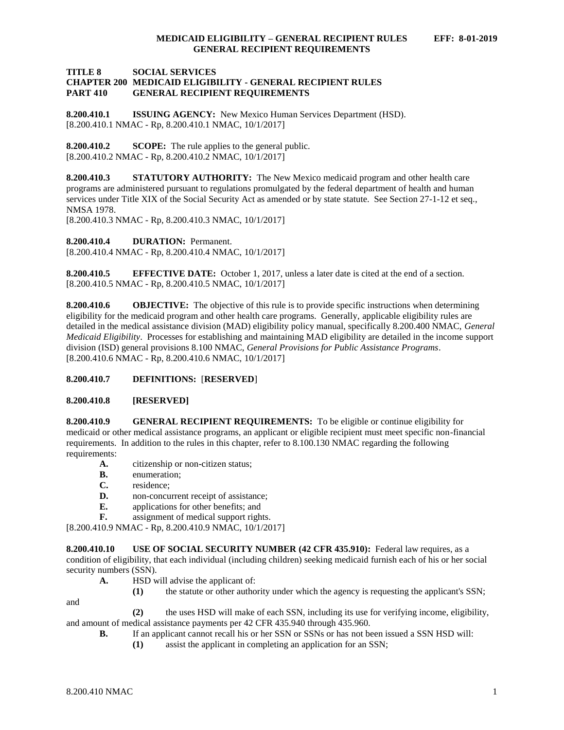#### **TITLE 8 SOCIAL SERVICES CHAPTER 200 MEDICAID ELIGIBILITY - GENERAL RECIPIENT RULES PART 410 GENERAL RECIPIENT REQUIREMENTS**

<span id="page-1-0"></span>**8.200.410.1 ISSUING AGENCY:** New Mexico Human Services Department (HSD). [8.200.410.1 NMAC - Rp, 8.200.410.1 NMAC, 10/1/2017]

<span id="page-1-1"></span>**8.200.410.2 SCOPE:** The rule applies to the general public. [8.200.410.2 NMAC - Rp, 8.200.410.2 NMAC, 10/1/2017]

<span id="page-1-2"></span>**8.200.410.3 STATUTORY AUTHORITY:** The New Mexico medicaid program and other health care programs are administered pursuant to regulations promulgated by the federal department of health and human services under Title XIX of the Social Security Act as amended or by state statute. See Section 27-1-12 et seq., NMSA 1978.

[8.200.410.3 NMAC - Rp, 8.200.410.3 NMAC, 10/1/2017]

<span id="page-1-3"></span>**8.200.410.4 DURATION:** Permanent.

[8.200.410.4 NMAC - Rp, 8.200.410.4 NMAC, 10/1/2017]

<span id="page-1-4"></span>**8.200.410.5 EFFECTIVE DATE:** October 1, 2017, unless a later date is cited at the end of a section. [8.200.410.5 NMAC - Rp, 8.200.410.5 NMAC, 10/1/2017]

<span id="page-1-5"></span>**8.200.410.6 OBJECTIVE:** The objective of this rule is to provide specific instructions when determining eligibility for the medicaid program and other health care programs. Generally, applicable eligibility rules are detailed in the medical assistance division (MAD) eligibility policy manual, specifically 8.200.400 NMAC, *General Medicaid Eligibility*. Processes for establishing and maintaining MAD eligibility are detailed in the income support division (ISD) general provisions 8.100 NMAC, *General Provisions for Public Assistance Programs*. [8.200.410.6 NMAC - Rp, 8.200.410.6 NMAC, 10/1/2017]

# <span id="page-1-6"></span>**8.200.410.7 DEFINITIONS:** [**RESERVED**]

# <span id="page-1-7"></span>**8.200.410.8 [RESERVED]**

<span id="page-1-8"></span>**8.200.410.9 GENERAL RECIPIENT REQUIREMENTS:** To be eligible or continue eligibility for medicaid or other medical assistance programs, an applicant or eligible recipient must meet specific non-financial requirements. In addition to the rules in this chapter, refer to 8.100.130 NMAC regarding the following requirements:

- **A.** citizenship or non-citizen status;
- **B.** enumeration;
- **C.** residence;
- **D.** non-concurrent receipt of assistance;
- **E.** applications for other benefits; and
- **F.** assignment of medical support rights.

[8.200.410.9 NMAC - Rp, 8.200.410.9 NMAC, 10/1/2017]

<span id="page-1-9"></span>**8.200.410.10 USE OF SOCIAL SECURITY NUMBER (42 CFR 435.910):** Federal law requires, as a condition of eligibility, that each individual (including children) seeking medicaid furnish each of his or her social security numbers (SSN).

- **A.** HSD will advise the applicant of:
	- **(1)** the statute or other authority under which the agency is requesting the applicant's SSN;

and

- **(2)** the uses HSD will make of each SSN, including its use for verifying income, eligibility, and amount of medical assistance payments per 42 CFR 435.940 through 435.960.
	- **B.** If an applicant cannot recall his or her SSN or SSNs or has not been issued a SSN HSD will:
		- **(1)** assist the applicant in completing an application for an SSN;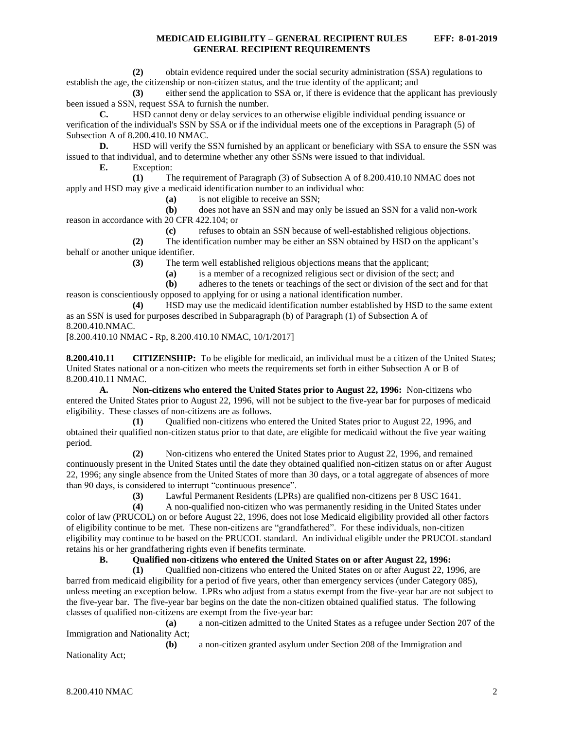**(2)** obtain evidence required under the social security administration (SSA) regulations to establish the age, the citizenship or non-citizen status, and the true identity of the applicant; and

**(3)** either send the application to SSA or, if there is evidence that the applicant has previously been issued a SSN, request SSA to furnish the number.

**C.** HSD cannot deny or delay services to an otherwise eligible individual pending issuance or verification of the individual's SSN by SSA or if the individual meets one of the exceptions in Paragraph (5) of Subsection A of 8.200.410.10 NMAC.

**D.** HSD will verify the SSN furnished by an applicant or beneficiary with SSA to ensure the SSN was issued to that individual, and to determine whether any other SSNs were issued to that individual.

**E.** Exception:

**(1)** The requirement of Paragraph (3) of Subsection A of 8.200.410.10 NMAC does not apply and HSD may give a medicaid identification number to an individual who:

**(a)** is not eligible to receive an SSN;

**(b)** does not have an SSN and may only be issued an SSN for a valid non-work reason in accordance with 20 CFR 422.104; or

**(c)** refuses to obtain an SSN because of well-established religious objections.

**(2)** The identification number may be either an SSN obtained by HSD on the applicant's behalf or another unique identifier.

**(3)** The term well established religious objections means that the applicant;

**(a)** is a member of a recognized religious sect or division of the sect; and

**(b)** adheres to the tenets or teachings of the sect or division of the sect and for that reason is conscientiously opposed to applying for or using a national identification number.

**(4)** HSD may use the medicaid identification number established by HSD to the same extent as an SSN is used for purposes described in Subparagraph (b) of Paragraph (1) of Subsection A of 8.200.410.NMAC.

[8.200.410.10 NMAC - Rp, 8.200.410.10 NMAC, 10/1/2017]

<span id="page-2-0"></span>**8.200.410.11 CITIZENSHIP:** To be eligible for medicaid, an individual must be a citizen of the United States; United States national or a non-citizen who meets the requirements set forth in either Subsection A or B of 8.200.410.11 NMAC.

**A. Non-citizens who entered the United States prior to August 22, 1996:** Non-citizens who entered the United States prior to August 22, 1996, will not be subject to the five-year bar for purposes of medicaid eligibility. These classes of non-citizens are as follows.

**(1)** Qualified non-citizens who entered the United States prior to August 22, 1996, and obtained their qualified non-citizen status prior to that date, are eligible for medicaid without the five year waiting period.

**(2)** Non-citizens who entered the United States prior to August 22, 1996, and remained continuously present in the United States until the date they obtained qualified non-citizen status on or after August 22, 1996; any single absence from the United States of more than 30 days, or a total aggregate of absences of more than 90 days, is considered to interrupt "continuous presence".

**(3)** Lawful Permanent Residents (LPRs) are qualified non-citizens per 8 USC 1641.

**(4)** A non-qualified non-citizen who was permanently residing in the United States under color of law (PRUCOL) on or before August 22, 1996, does not lose Medicaid eligibility provided all other factors of eligibility continue to be met. These non-citizens are "grandfathered". For these individuals, non-citizen eligibility may continue to be based on the PRUCOL standard. An individual eligible under the PRUCOL standard retains his or her grandfathering rights even if benefits terminate.

**B. Qualified non-citizens who entered the United States on or after August 22, 1996:**

**(1)** Qualified non-citizens who entered the United States on or after August 22, 1996, are barred from medicaid eligibility for a period of five years, other than emergency services (under Category 085), unless meeting an exception below. LPRs who adjust from a status exempt from the five-year bar are not subject to the five-year bar. The five-year bar begins on the date the non-citizen obtained qualified status. The following classes of qualified non-citizens are exempt from the five-year bar:

**(a)** a non-citizen admitted to the United States as a refugee under Section 207 of the Immigration and Nationality Act;

**(b)** a non-citizen granted asylum under Section 208 of the Immigration and Nationality Act;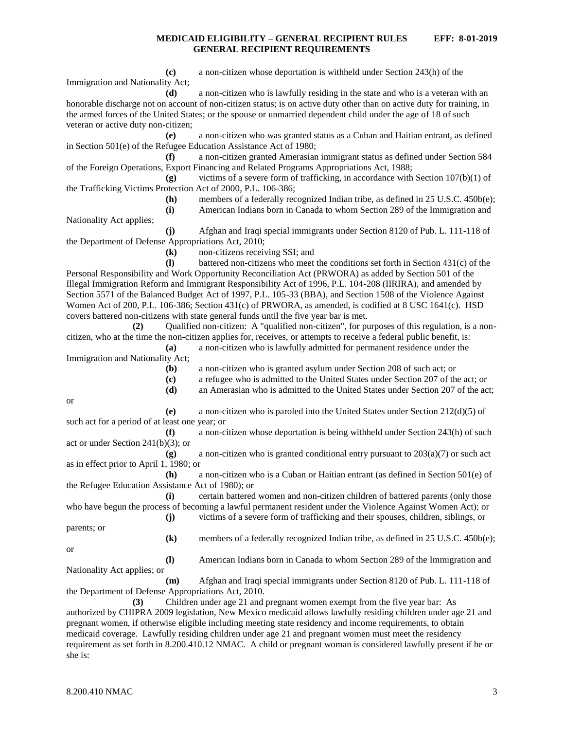**(c)** a non-citizen whose deportation is withheld under Section 243(h) of the Immigration and Nationality Act;

**(d)** a non-citizen who is lawfully residing in the state and who is a veteran with an honorable discharge not on account of non-citizen status; is on active duty other than on active duty for training, in the armed forces of the United States; or the spouse or unmarried dependent child under the age of 18 of such veteran or active duty non-citizen;

**(e)** a non-citizen who was granted status as a Cuban and Haitian entrant, as defined in Section 501(e) of the Refugee Education Assistance Act of 1980;

**(f)** a non-citizen granted Amerasian immigrant status as defined under Section 584 of the Foreign Operations, Export Financing and Related Programs Appropriations Act, 1988;

**(g)** victims of a severe form of trafficking, in accordance with Section 107(b)(1) of the Trafficking Victims Protection Act of 2000, P.L. 106-386;

**(h)** members of a federally recognized Indian tribe, as defined in 25 U.S.C. 450b(e);

**(i)** American Indians born in Canada to whom Section 289 of the Immigration and

**(j)** Afghan and Iraqi special immigrants under Section 8120 of Pub. L. 111-118 of the Department of Defense Appropriations Act, 2010;

**(k)** non-citizens receiving SSI; and

**(l)** battered non-citizens who meet the conditions set forth in Section 431(c) of the Personal Responsibility and Work Opportunity Reconciliation Act (PRWORA) as added by Section 501 of the Illegal Immigration Reform and Immigrant Responsibility Act of 1996, P.L. 104-208 (IIRIRA), and amended by Section 5571 of the Balanced Budget Act of 1997, P.L. 105-33 (BBA), and Section 1508 of the Violence Against Women Act of 200, P.L. 106-386; Section 431(c) of PRWORA, as amended, is codified at 8 USC 1641(c). HSD covers battered non-citizens with state general funds until the five year bar is met.

**(2)** Qualified non-citizen: A "qualified non-citizen", for purposes of this regulation, is a noncitizen, who at the time the non-citizen applies for, receives, or attempts to receive a federal public benefit, is:

**(a)** a non-citizen who is lawfully admitted for permanent residence under the Immigration and Nationality Act;

**(b)** a non-citizen who is granted asylum under Section 208 of such act; or

- **(c)** a refugee who is admitted to the United States under Section 207 of the act; or
- **(d)** an Amerasian who is admitted to the United States under Section 207 of the act;

or

Nationality Act applies;

**(e)** a non-citizen who is paroled into the United States under Section 212(d)(5) of such act for a period of at least one year; or

**(f)** a non-citizen whose deportation is being withheld under Section 243(h) of such act or under Section 241(b)(3); or

**(g)** a non-citizen who is granted conditional entry pursuant to 203(a)(7) or such act as in effect prior to April 1, 1980; or

**(h)** a non-citizen who is a Cuban or Haitian entrant (as defined in Section 501(e) of the Refugee Education Assistance Act of 1980); or

**(i)** certain battered women and non-citizen children of battered parents (only those who have begun the process of becoming a lawful permanent resident under the Violence Against Women Act); or **(j)** victims of a severe form of trafficking and their spouses, children, siblings, or

parents; or

**(k)** members of a federally recognized Indian tribe, as defined in 25 U.S.C. 450b(e);

or

**(l)** American Indians born in Canada to whom Section 289 of the Immigration and

Nationality Act applies; or

**(m)** Afghan and Iraqi special immigrants under Section 8120 of Pub. L. 111-118 of the Department of Defense Appropriations Act, 2010.

**(3)** Children under age 21 and pregnant women exempt from the five year bar: As authorized by CHIPRA 2009 legislation, New Mexico medicaid allows lawfully residing children under age 21 and pregnant women, if otherwise eligible including meeting state residency and income requirements, to obtain medicaid coverage. Lawfully residing children under age 21 and pregnant women must meet the residency requirement as set forth in 8.200.410.12 NMAC. A child or pregnant woman is considered lawfully present if he or she is: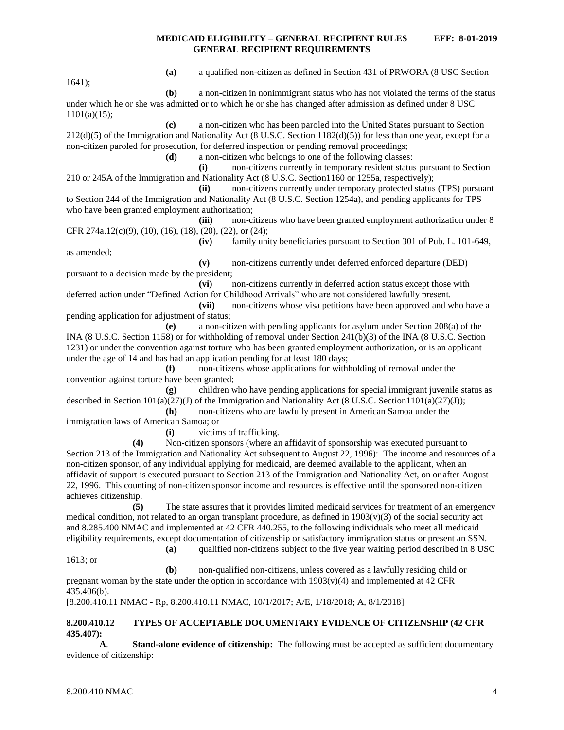1641);

**(a)** a qualified non-citizen as defined in Section 431 of PRWORA (8 USC Section

**(b)** a non-citizen in nonimmigrant status who has not violated the terms of the status under which he or she was admitted or to which he or she has changed after admission as defined under 8 USC  $1101(a)(15);$ 

**(c)** a non-citizen who has been paroled into the United States pursuant to Section 212(d)(5) of the Immigration and Nationality Act (8 U.S.C. Section 1182(d)(5)) for less than one year, except for a non-citizen paroled for prosecution, for deferred inspection or pending removal proceedings;

**(d)** a non-citizen who belongs to one of the following classes:

**(i)** non-citizens currently in temporary resident status pursuant to Section 210 or 245A of the Immigration and Nationality Act (8 U.S.C. Section1160 or 1255a, respectively);

**(ii)** non-citizens currently under temporary protected status (TPS) pursuant to Section 244 of the Immigration and Nationality Act (8 U.S.C. Section 1254a), and pending applicants for TPS who have been granted employment authorization;

**(iii)** non-citizens who have been granted employment authorization under 8 CFR 274a.12(c)(9), (10), (16), (18), (20), (22), or (24);

**(iv)** family unity beneficiaries pursuant to Section 301 of Pub. L. 101-649, as amended;

**(v)** non-citizens currently under deferred enforced departure (DED) pursuant to a decision made by the president;

**(vi)** non-citizens currently in deferred action status except those with deferred action under "Defined Action for Childhood Arrivals" who are not considered lawfully present.

**(vii)** non-citizens whose visa petitions have been approved and who have a pending application for adjustment of status;

**(e)** a non-citizen with pending applicants for asylum under Section 208(a) of the INA (8 U.S.C. Section 1158) or for withholding of removal under Section 241(b)(3) of the INA (8 U.S.C. Section 1231) or under the convention against torture who has been granted employment authorization, or is an applicant under the age of 14 and has had an application pending for at least 180 days;

**(f)** non-citizens whose applications for withholding of removal under the convention against torture have been granted;

**(g)** children who have pending applications for special immigrant juvenile status as described in Section 101(a)(27)(J) of the Immigration and Nationality Act (8 U.S.C. Section1101(a)(27)(J));

**(h)** non-citizens who are lawfully present in American Samoa under the immigration laws of American Samoa; or

**(i)** victims of trafficking.

**(4)** Non-citizen sponsors (where an affidavit of sponsorship was executed pursuant to Section 213 of the Immigration and Nationality Act subsequent to August 22, 1996): The income and resources of a non-citizen sponsor, of any individual applying for medicaid, are deemed available to the applicant, when an affidavit of support is executed pursuant to Section 213 of the Immigration and Nationality Act, on or after August 22, 1996. This counting of non-citizen sponsor income and resources is effective until the sponsored non-citizen achieves citizenship.

**(5)** The state assures that it provides limited medicaid services for treatment of an emergency medical condition, not related to an organ transplant procedure, as defined in  $1903(v)(3)$  of the social security act and 8.285.400 NMAC and implemented at 42 CFR 440.255, to the following individuals who meet all medicaid eligibility requirements, except documentation of citizenship or satisfactory immigration status or present an SSN. **(a)** qualified non-citizens subject to the five year waiting period described in 8 USC

1613; or

**(b)** non-qualified non-citizens, unless covered as a lawfully residing child or pregnant woman by the state under the option in accordance with  $1903(v)(4)$  and implemented at 42 CFR 435.406(b).

[8.200.410.11 NMAC - Rp, 8.200.410.11 NMAC, 10/1/2017; A/E, 1/18/2018; A, 8/1/2018]

#### <span id="page-4-0"></span>**8.200.410.12 TYPES OF ACCEPTABLE DOCUMENTARY EVIDENCE OF CITIZENSHIP (42 CFR 435.407):**

**A**. **Stand-alone evidence of citizenship:** The following must be accepted as sufficient documentary evidence of citizenship: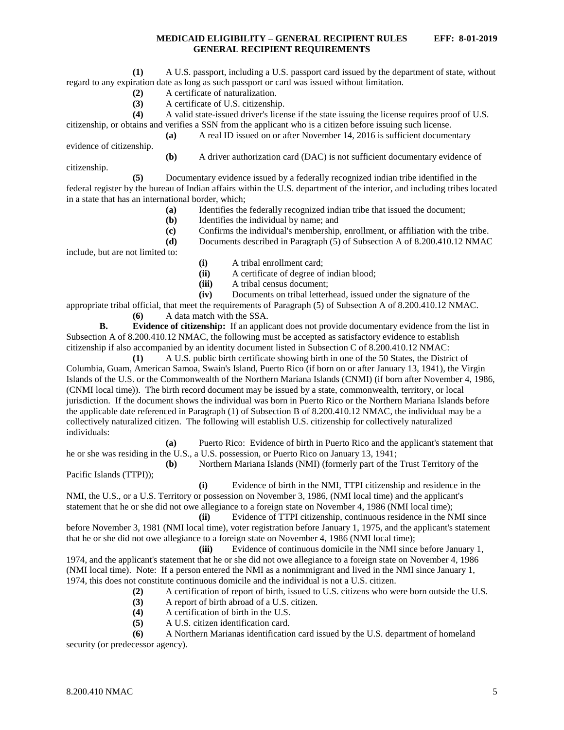**(1)** A U.S. passport, including a U.S. passport card issued by the department of state, without regard to any expiration date as long as such passport or card was issued without limitation.

- **(2)** A certificate of naturalization.
- **(3)** A certificate of U.S. citizenship.

**(4)** A valid state-issued driver's license if the state issuing the license requires proof of U.S. citizenship, or obtains and verifies a SSN from the applicant who is a citizen before issuing such license.

**(a)** A real ID issued on or after November 14, 2016 is sufficient documentary evidence of citizenship.

**(b)** A driver authorization card (DAC) is not sufficient documentary evidence of

citizenship.

**(5)** Documentary evidence issued by a federally recognized indian tribe identified in the federal register by the bureau of Indian affairs within the U.S. department of the interior, and including tribes located in a state that has an international border, which;

- **(a)** Identifies the federally recognized indian tribe that issued the document;
- **(b)** Identifies the individual by name; and
- **(c)** Confirms the individual's membership, enrollment, or affiliation with the tribe.

**(d)** Documents described in Paragraph (5) of Subsection A of 8.200.410.12 NMAC

include, but are not limited to:

- **(i)** A tribal enrollment card;
- **(ii)** A certificate of degree of indian blood;
- **(iii)** A tribal census document;

**(iv)** Documents on tribal letterhead, issued under the signature of the

appropriate tribal official, that meet the requirements of Paragraph (5) of Subsection A of 8.200.410.12 NMAC. **(6)** A data match with the SSA.

**B. Evidence of citizenship:** If an applicant does not provide documentary evidence from the list in Subsection A of 8.200.410.12 NMAC, the following must be accepted as satisfactory evidence to establish citizenship if also accompanied by an identity document listed in Subsection C of 8.200.410.12 NMAC:

**(1)** A U.S. public birth certificate showing birth in one of the 50 States, the District of Columbia, Guam, American Samoa, Swain's Island, Puerto Rico (if born on or after January 13, 1941), the Virgin Islands of the U.S. or the Commonwealth of the Northern Mariana Islands (CNMI) (if born after November 4, 1986, (CNMI local time)). The birth record document may be issued by a state, commonwealth, territory, or local jurisdiction. If the document shows the individual was born in Puerto Rico or the Northern Mariana Islands before the applicable date referenced in Paragraph (1) of Subsection B of 8.200.410.12 NMAC, the individual may be a collectively naturalized citizen. The following will establish U.S. citizenship for collectively naturalized individuals:

**(a)** Puerto Rico: Evidence of birth in Puerto Rico and the applicant's statement that he or she was residing in the U.S., a U.S. possession, or Puerto Rico on January 13, 1941;

**(b)** Northern Mariana Islands (NMI) (formerly part of the Trust Territory of the Pacific Islands (TTPI));

**(i)** Evidence of birth in the NMI, TTPI citizenship and residence in the NMI, the U.S., or a U.S. Territory or possession on November 3, 1986, (NMI local time) and the applicant's statement that he or she did not owe allegiance to a foreign state on November 4, 1986 (NMI local time);

**(ii)** Evidence of TTPI citizenship, continuous residence in the NMI since before November 3, 1981 (NMI local time), voter registration before January 1, 1975, and the applicant's statement that he or she did not owe allegiance to a foreign state on November 4, 1986 (NMI local time);

**(iii)** Evidence of continuous domicile in the NMI since before January 1, 1974, and the applicant's statement that he or she did not owe allegiance to a foreign state on November 4, 1986 (NMI local time). Note: If a person entered the NMI as a nonimmigrant and lived in the NMI since January 1, 1974, this does not constitute continuous domicile and the individual is not a U.S. citizen.

- **(2)** A certification of report of birth, issued to U.S. citizens who were born outside the U.S.
- **(3)** A report of birth abroad of a U.S. citizen.
- **(4)** A certification of birth in the U.S.
- **(5)** A U.S. citizen identification card.

**(6)** A Northern Marianas identification card issued by the U.S. department of homeland security (or predecessor agency).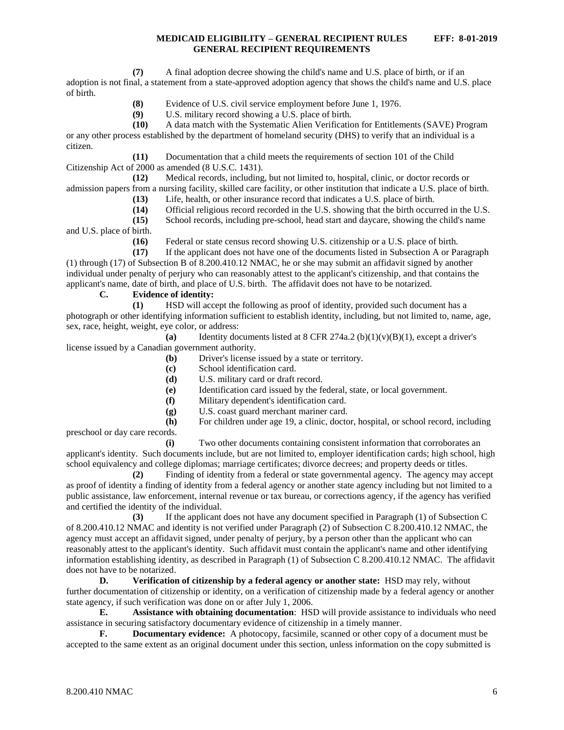**(7)** A final adoption decree showing the child's name and U.S. place of birth, or if an adoption is not final, a statement from a state-approved adoption agency that shows the child's name and U.S. place of birth.

- **(8)** Evidence of U.S. civil service employment before June 1, 1976.
- **(9)** U.S. military record showing a U.S. place of birth.

**(10)** A data match with the Systematic Alien Verification for Entitlements (SAVE) Program or any other process established by the department of homeland security (DHS) to verify that an individual is a citizen.

**(11)** Documentation that a child meets the requirements of section 101 of the Child Citizenship Act of 2000 as amended (8 U.S.C. 1431).

**(12)** Medical records, including, but not limited to, hospital, clinic, or doctor records or admission papers from a nursing facility, skilled care facility, or other institution that indicate a U.S. place of birth.

- **(13)** Life, health, or other insurance record that indicates a U.S. place of birth.
- **(14)** Official religious record recorded in the U.S. showing that the birth occurred in the U.S.

**(15)** School records, including pre-school, head start and daycare, showing the child's name and U.S. place of birth.

**(16)** Federal or state census record showing U.S. citizenship or a U.S. place of birth.

**(17)** If the applicant does not have one of the documents listed in Subsection A or Paragraph (1) through (17) of Subsection B of 8.200.410.12 NMAC, he or she may submit an affidavit signed by another individual under penalty of perjury who can reasonably attest to the applicant's citizenship, and that contains the applicant's name, date of birth, and place of U.S. birth. The affidavit does not have to be notarized.

#### **C. Evidence of identity:**

**(1)** HSD will accept the following as proof of identity, provided such document has a photograph or other identifying information sufficient to establish identity, including, but not limited to, name, age, sex, race, height, weight, eye color, or address:

**(a)** Identity documents listed at 8 CFR 274a.2 (b)(1)(v)(B)(1), except a driver's license issued by a Canadian government authority.

- **(b)** Driver's license issued by a state or territory.
- **(c)** School identification card.
- **(d)** U.S. military card or draft record.
- **(e)** Identification card issued by the federal, state, or local government.
- **(f)** Military dependent's identification card.
- **(g)** U.S. coast guard merchant mariner card.
- **(h)** For children under age 19, a clinic, doctor, hospital, or school record, including preschool or day care records.

**(i)** Two other documents containing consistent information that corroborates an applicant's identity. Such documents include, but are not limited to, employer identification cards; high school, high school equivalency and college diplomas; marriage certificates; divorce decrees; and property deeds or titles.

**(2)** Finding of identity from a federal or state governmental agency. The agency may accept as proof of identity a finding of identity from a federal agency or another state agency including but not limited to a public assistance, law enforcement, internal revenue or tax bureau, or corrections agency, if the agency has verified and certified the identity of the individual.

**(3)** If the applicant does not have any document specified in Paragraph (1) of Subsection C of 8.200.410.12 NMAC and identity is not verified under Paragraph (2) of Subsection C 8.200.410.12 NMAC, the agency must accept an affidavit signed, under penalty of perjury, by a person other than the applicant who can reasonably attest to the applicant's identity. Such affidavit must contain the applicant's name and other identifying information establishing identity, as described in Paragraph (1) of Subsection C 8.200.410.12 NMAC. The affidavit does not have to be notarized.

**D. Verification of citizenship by a federal agency or another state:** HSD may rely, without further documentation of citizenship or identity, on a verification of citizenship made by a federal agency or another state agency, if such verification was done on or after July 1, 2006.

**E. Assistance with obtaining documentation**: HSD will provide assistance to individuals who need assistance in securing satisfactory documentary evidence of citizenship in a timely manner.

**F. Documentary evidence:** A photocopy, facsimile, scanned or other copy of a document must be accepted to the same extent as an original document under this section, unless information on the copy submitted is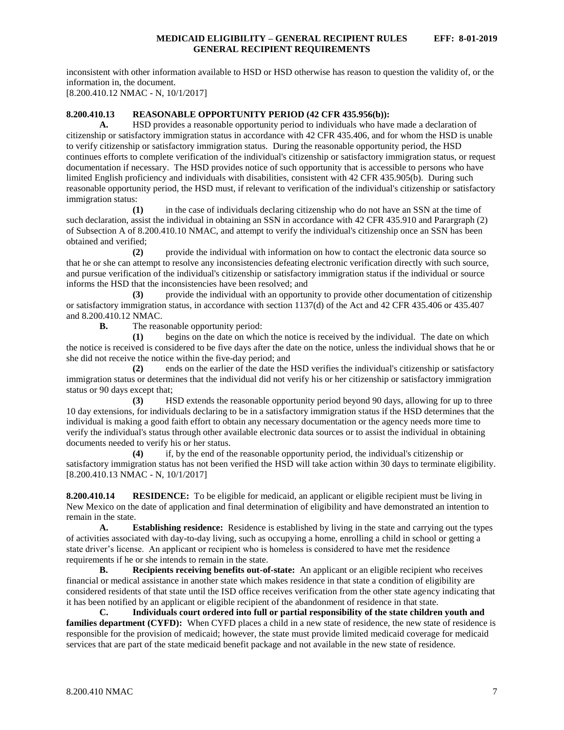inconsistent with other information available to HSD or HSD otherwise has reason to question the validity of, or the information in, the document.

[8.200.410.12 NMAC - N, 10/1/2017]

### <span id="page-7-0"></span>**8.200.410.13 REASONABLE OPPORTUNITY PERIOD (42 CFR 435.956(b)):**

**A.** HSD provides a reasonable opportunity period to individuals who have made a declaration of citizenship or satisfactory immigration status in accordance with 42 CFR 435.406, and for whom the HSD is unable to verify citizenship or satisfactory immigration status. During the reasonable opportunity period, the HSD continues efforts to complete verification of the individual's citizenship or satisfactory immigration status, or request documentation if necessary. The HSD provides notice of such opportunity that is accessible to persons who have limited English proficiency and individuals with disabilities, consistent with 42 CFR 435.905(b). During such reasonable opportunity period, the HSD must, if relevant to verification of the individual's citizenship or satisfactory immigration status:

**(1)** in the case of individuals declaring citizenship who do not have an SSN at the time of such declaration, assist the individual in obtaining an SSN in accordance with 42 CFR 435.910 and Parargraph (2) of Subsection A of 8.200.410.10 NMAC, and attempt to verify the individual's citizenship once an SSN has been obtained and verified;

**(2)** provide the individual with information on how to contact the electronic data source so that he or she can attempt to resolve any inconsistencies defeating electronic verification directly with such source, and pursue verification of the individual's citizenship or satisfactory immigration status if the individual or source informs the HSD that the inconsistencies have been resolved; and

**(3)** provide the individual with an opportunity to provide other documentation of citizenship or satisfactory immigration status, in accordance with section 1137(d) of the Act and 42 CFR 435.406 or 435.407 and 8.200.410.12 NMAC.

**B.** The reasonable opportunity period:

**(1)** begins on the date on which the notice is received by the individual. The date on which the notice is received is considered to be five days after the date on the notice, unless the individual shows that he or she did not receive the notice within the five-day period; and

**(2)** ends on the earlier of the date the HSD verifies the individual's citizenship or satisfactory immigration status or determines that the individual did not verify his or her citizenship or satisfactory immigration status or 90 days except that;

**(3)** HSD extends the reasonable opportunity period beyond 90 days, allowing for up to three 10 day extensions, for individuals declaring to be in a satisfactory immigration status if the HSD determines that the individual is making a good faith effort to obtain any necessary documentation or the agency needs more time to verify the individual's status through other available electronic data sources or to assist the individual in obtaining documents needed to verify his or her status.

**(4)** if, by the end of the reasonable opportunity period, the individual's citizenship or satisfactory immigration status has not been verified the HSD will take action within 30 days to terminate eligibility. [8.200.410.13 NMAC - N, 10/1/2017]

<span id="page-7-1"></span>**8.200.410.14 RESIDENCE:** To be eligible for medicaid, an applicant or eligible recipient must be living in New Mexico on the date of application and final determination of eligibility and have demonstrated an intention to remain in the state.

**A. Establishing residence:** Residence is established by living in the state and carrying out the types of activities associated with day-to-day living, such as occupying a home, enrolling a child in school or getting a state driver's license. An applicant or recipient who is homeless is considered to have met the residence requirements if he or she intends to remain in the state.

**B. Recipients receiving benefits out-of-state:** An applicant or an eligible recipient who receives financial or medical assistance in another state which makes residence in that state a condition of eligibility are considered residents of that state until the ISD office receives verification from the other state agency indicating that it has been notified by an applicant or eligible recipient of the abandonment of residence in that state.

**C. Individuals court ordered into full or partial responsibility of the state children youth and families department (CYFD):** When CYFD places a child in a new state of residence, the new state of residence is responsible for the provision of medicaid; however, the state must provide limited medicaid coverage for medicaid services that are part of the state medicaid benefit package and not available in the new state of residence.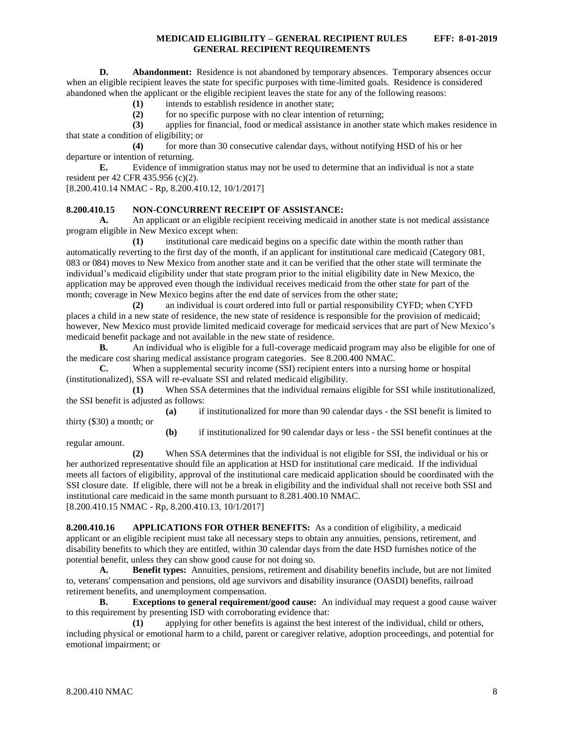**D. Abandonment:** Residence is not abandoned by temporary absences. Temporary absences occur when an eligible recipient leaves the state for specific purposes with time-limited goals. Residence is considered abandoned when the applicant or the eligible recipient leaves the state for any of the following reasons:

**(1)** intends to establish residence in another state;

**(2)** for no specific purpose with no clear intention of returning;

**(3)** applies for financial, food or medical assistance in another state which makes residence in that state a condition of eligibility; or

**(4)** for more than 30 consecutive calendar days, without notifying HSD of his or her departure or intention of returning.

**E.** Evidence of immigration status may not be used to determine that an individual is not a state resident per 42 CFR 435.956 (c)(2).

[8.200.410.14 NMAC - Rp, 8.200.410.12, 10/1/2017]

#### <span id="page-8-0"></span>**8.200.410.15 NON-CONCURRENT RECEIPT OF ASSISTANCE:**

**A.** An applicant or an eligible recipient receiving medicaid in another state is not medical assistance program eligible in New Mexico except when:

**(1)** institutional care medicaid begins on a specific date within the month rather than automatically reverting to the first day of the month, if an applicant for institutional care medicaid (Category 081, 083 or 084) moves to New Mexico from another state and it can be verified that the other state will terminate the individual's medicaid eligibility under that state program prior to the initial eligibility date in New Mexico, the application may be approved even though the individual receives medicaid from the other state for part of the month; coverage in New Mexico begins after the end date of services from the other state;

**(2)** an individual is court ordered into full or partial responsibility CYFD; when CYFD places a child in a new state of residence, the new state of residence is responsible for the provision of medicaid; however, New Mexico must provide limited medicaid coverage for medicaid services that are part of New Mexico's medicaid benefit package and not available in the new state of residence.

**B.** An individual who is eligible for a full-coverage medicaid program may also be eligible for one of the medicare cost sharing medical assistance program categories. See 8.200.400 NMAC.

**C.** When a supplemental security income (SSI) recipient enters into a nursing home or hospital (institutionalized), SSA will re-evaluate SSI and related medicaid eligibility.

**(1)** When SSA determines that the individual remains eligible for SSI while institutionalized, the SSI benefit is adjusted as follows:

**(a)** if institutionalized for more than 90 calendar days - the SSI benefit is limited to thirty (\$30) a month; or

**(b)** if institutionalized for 90 calendar days or less - the SSI benefit continues at the

regular amount.

**(2)** When SSA determines that the individual is not eligible for SSI, the individual or his or her authorized representative should file an application at HSD for institutional care medicaid. If the individual meets all factors of eligibility, approval of the institutional care medicaid application should be coordinated with the SSI closure date. If eligible, there will not be a break in eligibility and the individual shall not receive both SSI and institutional care medicaid in the same month pursuant to 8.281.400.10 NMAC. [8.200.410.15 NMAC - Rp, 8.200.410.13, 10/1/2017]

<span id="page-8-1"></span>**8.200.410.16 APPLICATIONS FOR OTHER BENEFITS:** As a condition of eligibility, a medicaid applicant or an eligible recipient must take all necessary steps to obtain any annuities, pensions, retirement, and disability benefits to which they are entitled, within 30 calendar days from the date HSD furnishes notice of the potential benefit, unless they can show good cause for not doing so.

**A. Benefit types:** Annuities, pensions, retirement and disability benefits include, but are not limited to, veterans' compensation and pensions, old age survivors and disability insurance (OASDI) benefits, railroad retirement benefits, and unemployment compensation.

**B. Exceptions to general requirement/good cause:** An individual may request a good cause waiver to this requirement by presenting ISD with corroborating evidence that:

**(1)** applying for other benefits is against the best interest of the individual, child or others, including physical or emotional harm to a child, parent or caregiver relative, adoption proceedings, and potential for emotional impairment; or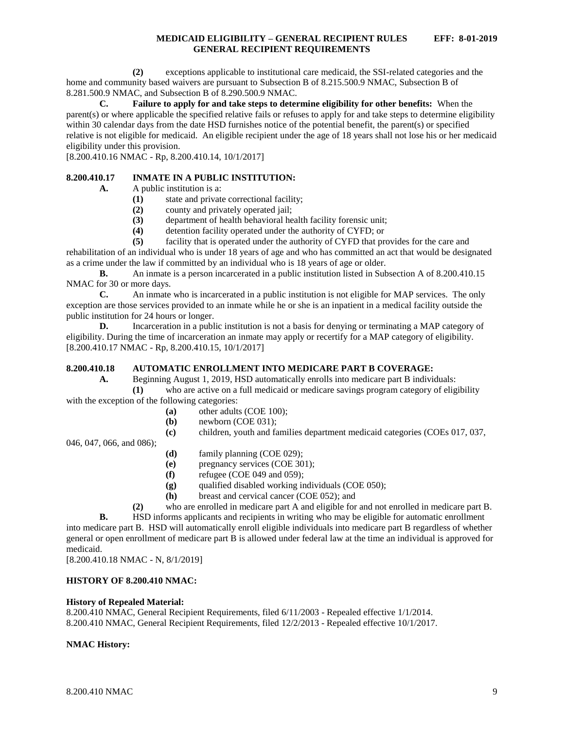**(2)** exceptions applicable to institutional care medicaid, the SSI-related categories and the home and community based waivers are pursuant to Subsection B of 8.215.500.9 NMAC, Subsection B of 8.281.500.9 NMAC, and Subsection B of 8.290.500.9 NMAC.

**C. Failure to apply for and take steps to determine eligibility for other benefits:** When the parent(s) or where applicable the specified relative fails or refuses to apply for and take steps to determine eligibility within 30 calendar days from the date HSD furnishes notice of the potential benefit, the parent(s) or specified relative is not eligible for medicaid. An eligible recipient under the age of 18 years shall not lose his or her medicaid eligibility under this provision.

[8.200.410.16 NMAC - Rp, 8.200.410.14, 10/1/2017]

# <span id="page-9-0"></span>**8.200.410.17 INMATE IN A PUBLIC INSTITUTION:**

**A.** A public institution is a:

- **(1)** state and private correctional facility;
- **(2)** county and privately operated jail;
- **(3)** department of health behavioral health facility forensic unit;
- **(4)** detention facility operated under the authority of CYFD; or
- **(5)** facility that is operated under the authority of CYFD that provides for the care and

rehabilitation of an individual who is under 18 years of age and who has committed an act that would be designated as a crime under the law if committed by an individual who is 18 years of age or older.

**B.** An inmate is a person incarcerated in a public institution listed in Subsection A of 8.200.410.15 NMAC for 30 or more days.

**C.** An inmate who is incarcerated in a public institution is not eligible for MAP services. The only exception are those services provided to an inmate while he or she is an inpatient in a medical facility outside the public institution for 24 hours or longer.

**D.** Incarceration in a public institution is not a basis for denying or terminating a MAP category of eligibility. During the time of incarceration an inmate may apply or recertify for a MAP category of eligibility. [8.200.410.17 NMAC - Rp, 8.200.410.15, 10/1/2017]

#### <span id="page-9-1"></span>**8.200.410.18 AUTOMATIC ENROLLMENT INTO MEDICARE PART B COVERAGE:**

**A.** Beginning August 1, 2019, HSD automatically enrolls into medicare part B individuals: **(1)** who are active on a full medicaid or medicare savings program category of eligibility

with the exception of the following categories:

- **(a)** other adults (COE 100);
- **(b)** newborn (COE 031);
- **(c)** children, youth and families department medicaid categories (COEs 017, 037,

046, 047, 066, and 086);

- **(d)** family planning (COE 029);
- **(e)** pregnancy services (COE 301);
- **(f)** refugee (COE 049 and 059);
- **(g)** qualified disabled working individuals (COE 050);
- **(h)** breast and cervical cancer (COE 052); and

**(2)** who are enrolled in medicare part A and eligible for and not enrolled in medicare part B.

**B.** HSD informs applicants and recipients in writing who may be eligible for automatic enrollment into medicare part B. HSD will automatically enroll eligible individuals into medicare part B regardless of whether general or open enrollment of medicare part B is allowed under federal law at the time an individual is approved for medicaid.

[8.200.410.18 NMAC - N, 8/1/2019]

# **HISTORY OF 8.200.410 NMAC:**

#### **History of Repealed Material:**

8.200.410 NMAC, General Recipient Requirements, filed 6/11/2003 - Repealed effective 1/1/2014. 8.200.410 NMAC, General Recipient Requirements, filed 12/2/2013 - Repealed effective 10/1/2017.

# **NMAC History:**